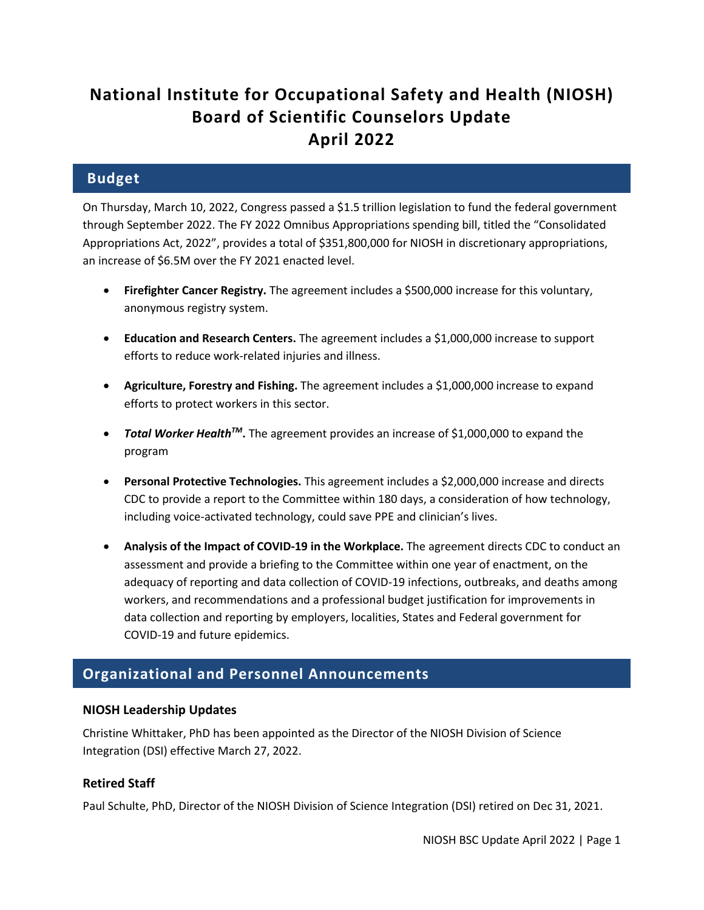# **National Institute for Occupational Safety and Health (NIOSH) Board of Scientific Counselors Update April 2022**

### **Budget**

On Thursday, March 10, 2022, Congress passed a \$1.5 trillion legislation to fund the federal government through September 2022. The FY 2022 Omnibus Appropriations spending bill, titled the "Consolidated Appropriations Act, 2022", provides a total of \$351,800,000 for NIOSH in discretionary appropriations, an increase of \$6.5M over the FY 2021 enacted level.

- **Firefighter Cancer Registry.** The agreement includes a \$500,000 increase for this voluntary, anonymous registry system.
- **Education and Research Centers.** The agreement includes a \$1,000,000 increase to support efforts to reduce work-related injuries and illness.
- **Agriculture, Forestry and Fishing.** The agreement includes a \$1,000,000 increase to expand efforts to protect workers in this sector.
- *Total Worker HealthTM***.** The agreement provides an increase of \$1,000,000 to expand the program
- **Personal Protective Technologies.** This agreement includes a \$2,000,000 increase and directs CDC to provide a report to the Committee within 180 days, a consideration of how technology, including voice-activated technology, could save PPE and clinician's lives.
- **Analysis of the Impact of COVID-19 in the Workplace.** The agreement directs CDC to conduct an assessment and provide a briefing to the Committee within one year of enactment, on the adequacy of reporting and data collection of COVID-19 infections, outbreaks, and deaths among workers, and recommendations and a professional budget justification for improvements in data collection and reporting by employers, localities, States and Federal government for COVID-19 and future epidemics.

### **Organizational and Personnel Announcements**

#### **NIOSH Leadership Updates**

Christine Whittaker, PhD has been appointed as the Director of the NIOSH Division of Science Integration (DSI) effective March 27, 2022.

#### **Retired Staff**

Paul Schulte, PhD, Director of the NIOSH Division of Science Integration (DSI) retired on Dec 31, 2021.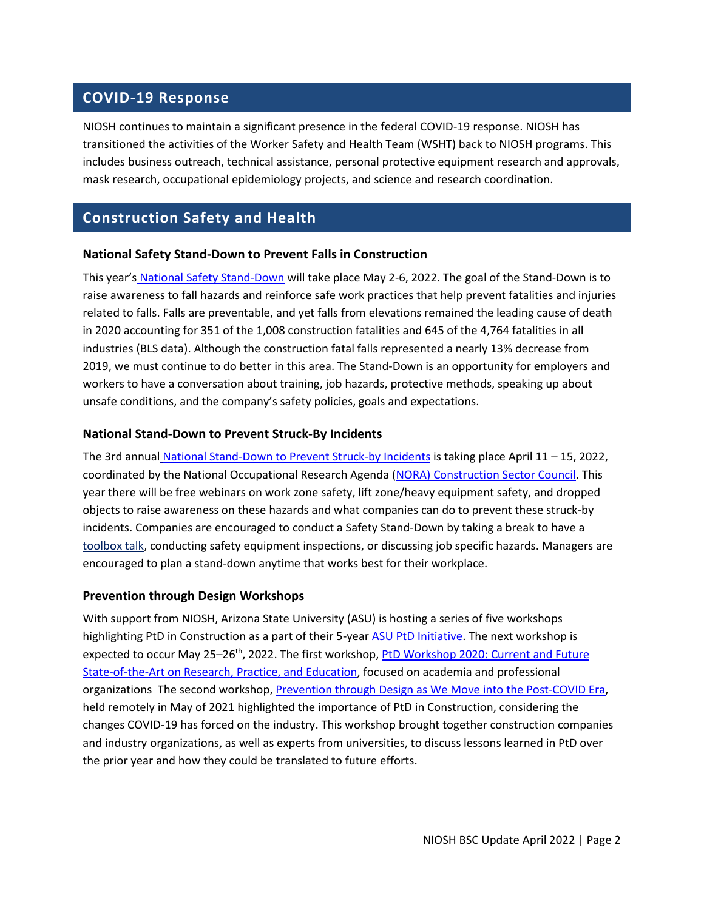### **COVID-19 Response**

NIOSH continues to maintain a significant presence in the federal COVID-19 response. NIOSH has transitioned the activities of the Worker Safety and Health Team (WSHT) back to NIOSH programs. This includes business outreach, technical assistance, personal protective equipment research and approvals, mask research, occupational epidemiology projects, and science and research coordination.

### **Construction Safety and Health**

#### **National Safety Stand-Down to Prevent Falls in Construction**

This year's [National Safety Stand-Down](https://www.osha.gov/StopFallsStandDown/) will take place May 2-6, 2022. The goal of the Stand-Down is to raise awareness to fall hazards and reinforce safe work practices that help prevent fatalities and injuries related to falls. Falls are preventable, and yet falls from elevations remained the leading cause of death in 2020 accounting for 351 of the 1,008 construction fatalities and 645 of the 4,764 fatalities in all industries (BLS data). Although the construction fatal falls represented a nearly 13% decrease from 2019, we must continue to do better in this area. The Stand-Down is an opportunity for employers and workers to have a conversation about training, job hazards, protective methods, speaking up about unsafe conditions, and the company's safety policies, goals and expectations.

#### **National Stand-Down to Prevent Struck-By Incidents**

The 3rd annual [National Stand-Down to Prevent Struck-by Incidents](https://www.cpwr.com/research/research-to-practice-r2p/r2p-library/other-resources-for-stakeholders/struck-by-hazards/) is taking place April 11 – 15, 2022, coordinated by the National Occupational Research Agenda [\(NORA\) Construction Sector Council.](https://www.cdc.gov/nora/councils/const/default.html) This year there will be free webinars on work zone safety, lift zone/heavy equipment safety, and dropped objects to raise awareness on these hazards and what companies can do to prevent these struck-by incidents. Companies are encouraged to conduct a Safety Stand-Down by taking a break to have a [toolbox talk,](https://www.cpwr.com/wp-content/uploads/TT-Planning_a_Lift.pdf) conducting safety equipment inspections, or discussing job specific hazards. Managers are encouraged to plan a stand-down anytime that works best for their workplace.

#### **Prevention through Design Workshops**

With support from NIOSH, Arizona State University (ASU) is hosting a series of five workshops highlighting PtD in Construction as a part of their 5-year [ASU PtD Initiative.](https://ptd.engineering.asu.edu/basic-page-layout/) The next workshop is expected to occur May 25–26<sup>th</sup>, 2022. The first workshop, PtD Workshop 2020: Current and Future [State-of-the-Art on Research, Practice, and Education,](https://ptd.engineering.asu.edu/ptd-workshop-2020-neu/) focused on academia and professional organizations The second workshop, [Prevention through Design as We Move into the Post-COVID Era,](https://ptd.engineering.asu.edu/) held remotely in May of 2021 highlighted the importance of PtD in Construction, considering the changes COVID-19 has forced on the industry. This workshop brought together construction companies and industry organizations, as well as experts from universities, to discuss lessons learned in PtD over the prior year and how they could be translated to future efforts.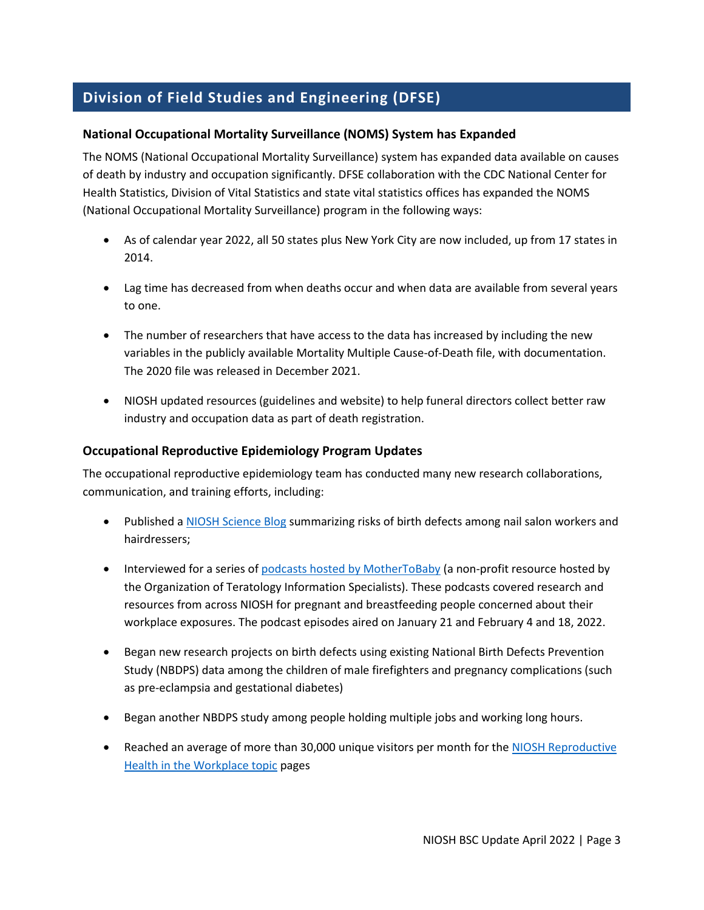# **Division of Field Studies and Engineering (DFSE)**

#### **National Occupational Mortality Surveillance (NOMS) System has Expanded**

The NOMS (National Occupational Mortality Surveillance) system has expanded data available on causes of death by industry and occupation significantly. DFSE collaboration with the CDC National Center for Health Statistics, Division of Vital Statistics and state vital statistics offices has expanded the NOMS (National Occupational Mortality Surveillance) program in the following ways:

- As of calendar year 2022, all 50 states plus New York City are now included, up from 17 states in 2014.
- Lag time has decreased from when deaths occur and when data are available from several years to one.
- The number of researchers that have access to the data has increased by including the new variables in the publicly available Mortality Multiple Cause-of-Death file, with documentation. The 2020 file was released in December 2021.
- NIOSH updated resources (guidelines and website) to help funeral directors collect better raw industry and occupation data as part of death registration.

#### **Occupational Reproductive Epidemiology Program Updates**

The occupational reproductive epidemiology team has conducted many new research collaborations, communication, and training efforts, including:

- Published a [NIOSH Science Blog](https://blogs.cdc.gov/niosh-science-blog/2021/11/03/birth-defects-nail-hair/) summarizing risks of birth defects among nail salon workers and hairdressers;
- Interviewed for a series o[f podcasts hosted by MotherToBaby](https://mothertobaby.org/podcast/) (a non-profit resource hosted by the Organization of Teratology Information Specialists). These podcasts covered research and resources from across NIOSH for pregnant and breastfeeding people concerned about their workplace exposures. The podcast episodes aired on January 21 and February 4 and 18, 2022.
- Began new research projects on birth defects using existing National Birth Defects Prevention Study (NBDPS) data among the children of male firefighters and pregnancy complications (such as pre-eclampsia and gestational diabetes)
- Began another NBDPS study among people holding multiple jobs and working long hours.
- Reached an average of more than 30,000 unique visitors per month for the NIOSH Reproductive [Health in the Workplace topic](https://www.cdc.gov/niosh/topics/repro/default.html) pages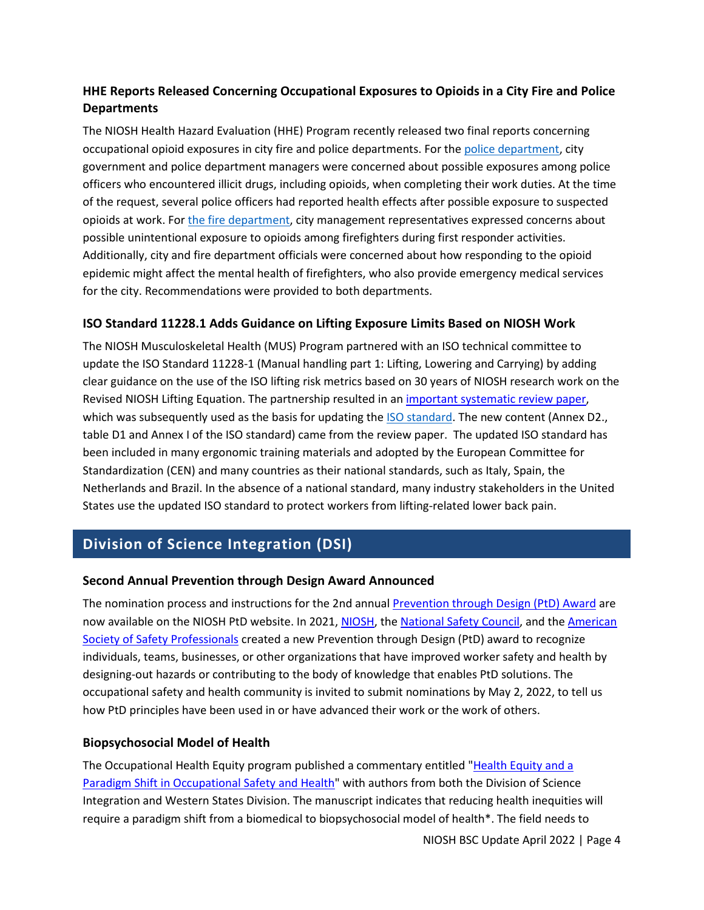### **HHE Reports Released Concerning Occupational Exposures to Opioids in a City Fire and Police Departments**

The NIOSH Health Hazard Evaluation (HHE) Program recently released two final reports concerning occupational opioid exposures in city fire and police departments. For the [police department,](https://www.cdc.gov/niosh/hhe/reports/pdfs/2018-0015-3383.pdf) city government and police department managers were concerned about possible exposures among police officers who encountered illicit drugs, including opioids, when completing their work duties. At the time of the request, several police officers had reported health effects after possible exposure to suspected opioids at work. Fo[r the fire department,](https://www.cdc.gov/niosh/hhe/reports/pdfs/2018-0015-3384.pdf) city management representatives expressed concerns about possible unintentional exposure to opioids among firefighters during first responder activities. Additionally, city and fire department officials were concerned about how responding to the opioid epidemic might affect the mental health of firefighters, who also provide emergency medical services for the city. Recommendations were provided to both departments.

#### **ISO Standard 11228.1 Adds Guidance on Lifting Exposure Limits Based on NIOSH Work**

The NIOSH Musculoskeletal Health (MUS) Program partnered with an ISO technical committee to update the ISO Standard 11228-1 (Manual handling part 1: Lifting, Lowering and Carrying) by adding clear guidance on the use of the ISO lifting risk metrics based on 30 years of NIOSH research work on the Revised NIOSH Lifting Equation. The partnership resulted in an [important systematic review paper,](https://www.sciencedirect.com/science/article/pii/S0003687018307324) which was subsequently used as the basis for updating the [ISO standard.](https://www.iso.org/standard/76820.html) The new content (Annex D2., table D1 and Annex I of the ISO standard) came from the review paper. The updated ISO standard has been included in many ergonomic training materials and adopted by the European Committee for Standardization (CEN) and many countries as their national standards, such as Italy, Spain, the Netherlands and Brazil. In the absence of a national standard, many industry stakeholders in the United States use the updated ISO standard to protect workers from lifting-related lower back pain.

# **Division of Science Integration (DSI)**

#### **Second Annual Prevention through Design Award Announced**

The nomination process and instructions for the 2nd annual [Prevention through Design \(PtD\) Award](https://www.cdc.gov/niosh/topics/ptd/award/default.html) are now available on the NIOSH PtD website. In 2021[, NIOSH,](https://www.cdc.gov/niosh/updates/upd-07-14-21.html) the [National Safety Council,](https://www.nsc.org/newsroom/new-award-recognizes-prevention-through-design) and the [American](https://www.assp.org/news/new-award-recognizes-prevention-through-design)  [Society of Safety Professionals](https://www.assp.org/news/new-award-recognizes-prevention-through-design) created a new Prevention through Design (PtD) award to recognize individuals, teams, businesses, or other organizations that have improved worker safety and health by designing-out hazards or contributing to the body of knowledge that enables PtD solutions. The occupational safety and health community is invited to submit nominations by May 2, 2022, to tell us how PtD principles have been used in or have advanced their work or the work of others[.](http://www.cdc.gov/niosh/topics/ptd/award%202) 

#### **Biopsychosocial Model of Health**

The Occupational Health Equity program published a commentary entitled ["Health Equity and a](https://www.mdpi.com/1660-4601/19/1/349)  [Paradigm Shift in Occupational Safety and Health"](https://www.mdpi.com/1660-4601/19/1/349) with authors from both the Division of Science Integration and Western States Division. The manuscript indicates that reducing health inequities will require a paradigm shift from a biomedical to biopsychosocial model of health\*. The field needs to

NIOSH BSC Update April 2022 | Page 4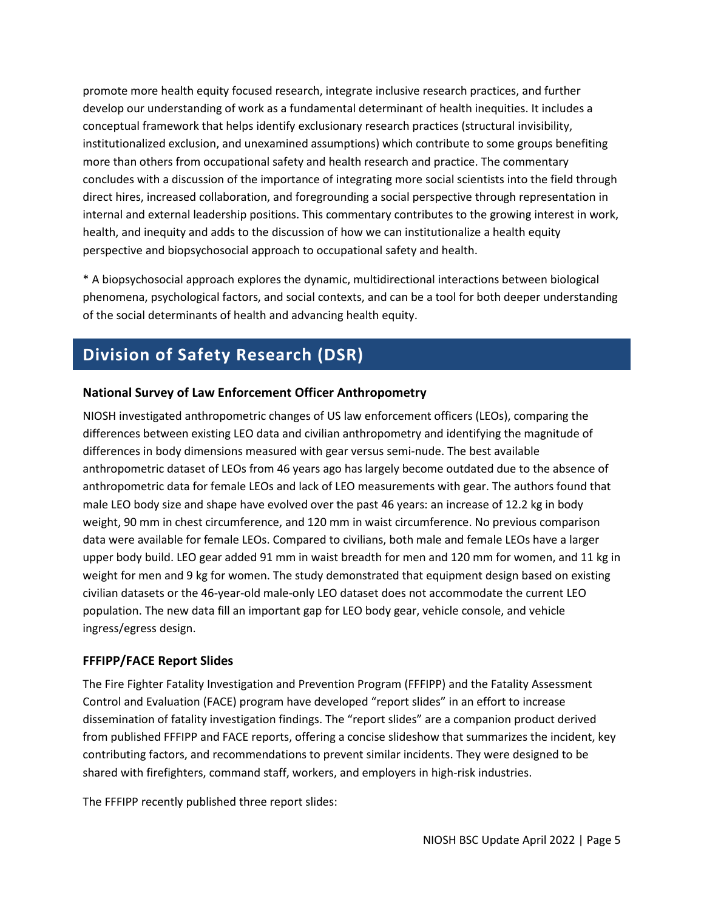promote more health equity focused research, integrate inclusive research practices, and further develop our understanding of work as a fundamental determinant of health inequities. It includes a conceptual framework that helps identify exclusionary research practices (structural invisibility, institutionalized exclusion, and unexamined assumptions) which contribute to some groups benefiting more than others from occupational safety and health research and practice. The commentary concludes with a discussion of the importance of integrating more social scientists into the field through direct hires, increased collaboration, and foregrounding a social perspective through representation in internal and external leadership positions. This commentary contributes to the growing interest in work, health, and inequity and adds to the discussion of how we can institutionalize a health equity perspective and biopsychosocial approach to occupational safety and health.

\* A biopsychosocial approach explores the dynamic, multidirectional interactions between biological phenomena, psychological factors, and social contexts, and can be a tool for both deeper understanding of the social determinants of health and advancing health equity.

# **Division of Safety Research (DSR)**

#### **National Survey of Law Enforcement Officer Anthropometry**

NIOSH investigated anthropometric changes of US law enforcement officers (LEOs), comparing the differences between existing LEO data and civilian anthropometry and identifying the magnitude of differences in body dimensions measured with gear versus semi-nude. The best available anthropometric dataset of LEOs from 46 years ago has largely become outdated due to the absence of anthropometric data for female LEOs and lack of LEO measurements with gear. The authors found that male LEO body size and shape have evolved over the past 46 years: an increase of 12.2 kg in body weight, 90 mm in chest circumference, and 120 mm in waist circumference. No previous comparison data were available for female LEOs. Compared to civilians, both male and female LEOs have a larger upper body build. LEO gear added 91 mm in waist breadth for men and 120 mm for women, and 11 kg in weight for men and 9 kg for women. The study demonstrated that equipment design based on existing civilian datasets or the 46-year-old male-only LEO dataset does not accommodate the current LEO population. The new data fill an important gap for LEO body gear, vehicle console, and vehicle ingress/egress design.

#### **FFFIPP/FACE Report Slides**

The Fire Fighter Fatality Investigation and Prevention Program (FFFIPP) and the Fatality Assessment Control and Evaluation (FACE) program have developed "report slides" in an effort to increase dissemination of fatality investigation findings. The "report slides" are a companion product derived from published FFFIPP and FACE reports, offering a concise slideshow that summarizes the incident, key contributing factors, and recommendations to prevent similar incidents. They were designed to be shared with firefighters, command staff, workers, and employers in high-risk industries.

The FFFIPP recently published three report slides: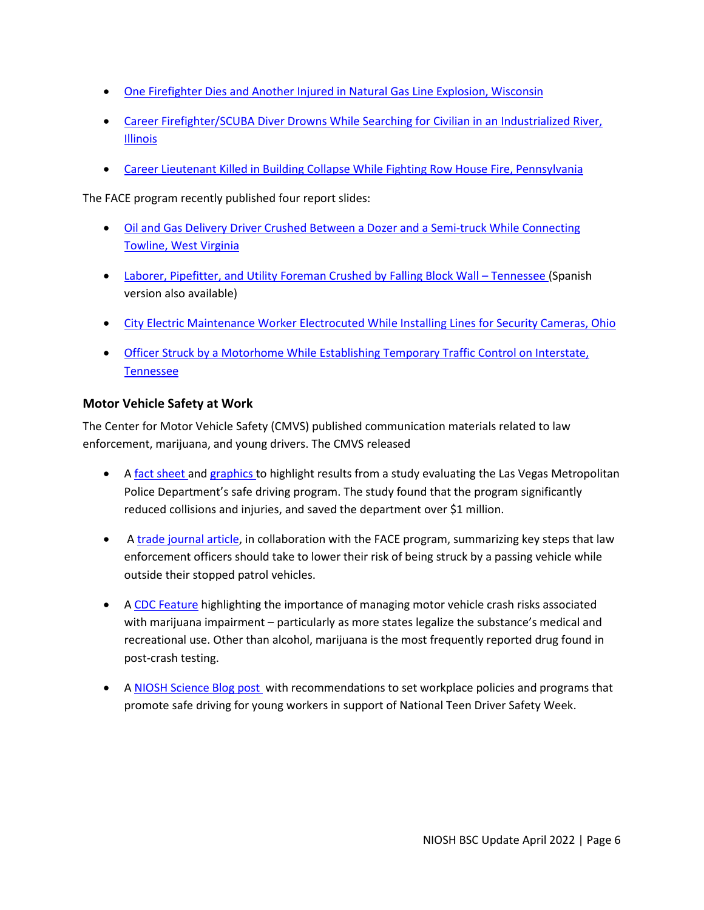- [One Firefighter Dies and Another Injured in Natural Gas Line Explosion, Wisconsin](https://www.cdc.gov/niosh/fire/pdfs/face201812V.pdf)
- Career Firefighter/SCUBA Diver Drowns While Searching for Civilian in an Industrialized River, [Illinois](https://www.cdc.gov/niosh/fire/pdfs/face201809V.pdf)
- [Career Lieutenant Killed in Building Collapse While Fighting Row House Fire, Pennsylvania](https://www.cdc.gov/niosh/fire/pdfs/face201803V.pdf)

The FACE program recently published four report slides:

- [Oil and Gas Delivery Driver Crushed Between a Dozer and a Semi-truck While Connecting](https://www.cdc.gov/niosh/face/pdfs/full201501V.pdf)  [Towline, West Virginia](https://www.cdc.gov/niosh/face/pdfs/full201501V.pdf)
- [Laborer, Pipefitter, and Utility Foreman Crushed by Falling Block Wall –](https://www.cdc.gov/niosh/face/pdfs/full201402V.pdf) Tennessee (Spanish [version also available\)](https://www.cdc.gov/spanish/niosh/face/pdfs/FACE2014-02Extension-sp.pdf)
- [City Electric Maintenance Worker Electrocuted While Installing Lines for](https://www.cdc.gov/niosh/face/pdfs/full201901V.pdf) Security Cameras, Ohio
- Officer Struck by a Motorhome While Establishing Temporary Traffic Control on Interstate, [Tennessee](https://www.cdc.gov/niosh/topics/leo/pdfs/l201601V.pdf)

#### **Motor Vehicle Safety at Work**

The Center for Motor Vehicle Safety (CMVS) published communication materials related to law enforcement, marijuana, and young drivers. The CMVS released

- A [fact sheet](https://www.cdc.gov/niosh/docs/2021-122/) and [graphics t](https://www.cdc.gov/niosh/topics/leo/graphics.html)o highlight results from a study evaluating the Las Vegas Metropolitan Police Department's safe driving program. The study found that the program significantly reduced collisions and injuries, and saved the department over \$1 million.
- A [trade journal article,](https://www.policechiefmagazine.org/focus-on-officer-wellness-prevent-struck-by-incidents-at-crash-scenes/?ref=6dd4e18b82f73716c9df077f17e38bea) in collaboration with the FACE program, summarizing key steps that law enforcement officers should take to lower their risk of being struck by a passing vehicle while outside their stopped patrol vehicles.
- A [CDC Feature](https://www.cdc.gov/niosh/newsroom/feature/marijuana-and-driving.html) highlighting the importance of managing motor vehicle crash risks associated with marijuana impairment – particularly as more states legalize the substance's medical and recreational use. Other than alcohol, marijuana is the most frequently reported drug found in post-crash testing.
- A [NIOSH Science Blog post w](https://blogs.cdc.gov/niosh-science-blog/2021/10/18/teen-drivers/)ith recommendations to set workplace policies and programs that promote safe driving for young workers in support of National Teen Driver Safety Week.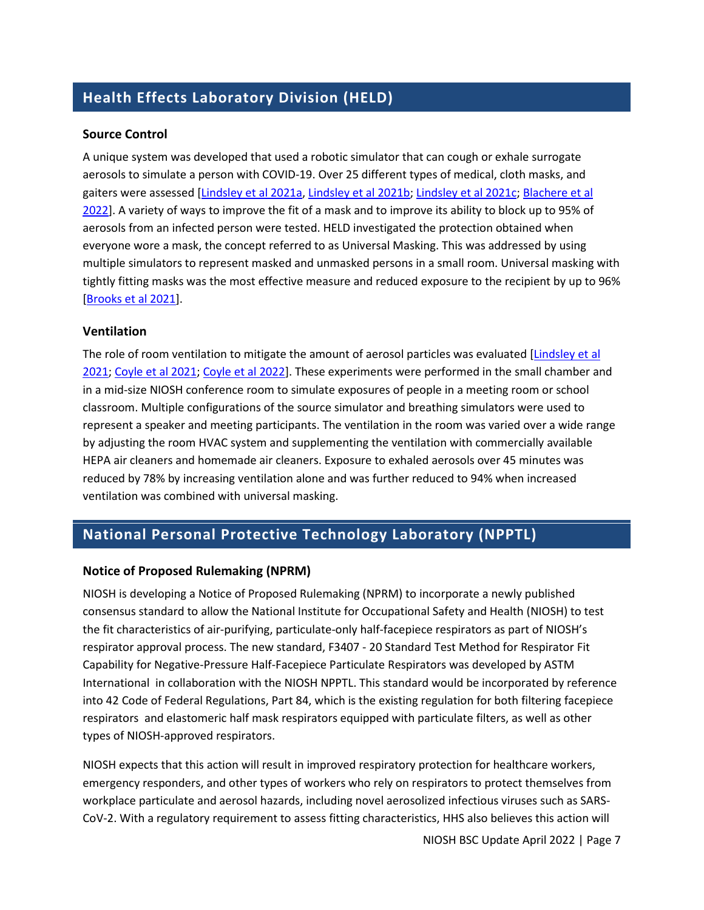# **Health Effects Laboratory Division (HELD)**

#### **Source Control**

A unique system was developed that used a robotic simulator that can cough or exhale surrogate aerosols to simulate a person with COVID-19. Over 25 different types of medical, cloth masks, and gaiters were assessed [\[Lindsley et al 2021a,](https://doi.org/10.1080/15459624.2021.1939879) [Lindsley et al 2021b;](https://doi.org/10.1080/02786826.2021.1933377) [Lindsley et al 2021c;](https://doi.org/10.1080/02786826.2020.1862409) Blachere et al [2022\]](https://doi.org/10.1016/j.ajic.2021.10.041). A variety of ways to improve the fit of a mask and to improve its ability to block up to 95% of aerosols from an infected person were tested. HELD investigated the protection obtained when everyone wore a mask, the concept referred to as Universal Masking. This was addressed by using multiple simulators to represent masked and unmasked persons in a small room. Universal masking with tightly fitting masks was the most effective measure and reduced exposure to the recipient by up to 96% [\[Brooks et al 2021\]](https://www.cdc.gov/mmwr/volumes/70/wr/mm7007e1.htm?s_cid=mm7007e1_w).

#### **Ventilation**

The role of room ventilation to mitigate the amount of aerosol particles was evaluated [Lindsley et al [2021;](https://www.cdc.gov/mmwr/volumes/70/wr/mm7027e1.htm?s_cid=mm7027e1_w) [Coyle et al 2021;](https://www.mdpi.com/1999-4915/13/12/2536) [Coyle et al 2022\]](https://onlinelibrary.wiley.com/doi/10.1111/ina.12987). These experiments were performed in the small chamber and in a mid-size NIOSH conference room to simulate exposures of people in a meeting room or school classroom. Multiple configurations of the source simulator and breathing simulators were used to represent a speaker and meeting participants. The ventilation in the room was varied over a wide range by adjusting the room HVAC system and supplementing the ventilation with commercially available HEPA air cleaners and homemade air cleaners. Exposure to exhaled aerosols over 45 minutes was reduced by 78% by increasing ventilation alone and was further reduced to 94% when increased ventilation was combined with universal masking.

### **National Personal Protective Technology Laboratory (NPPTL)**

#### **Notice of Proposed Rulemaking (NPRM)**

NIOSH is developing a Notice of Proposed Rulemaking (NPRM) to incorporate a newly published consensus standard to allow the National Institute for Occupational Safety and Health (NIOSH) to test the fit characteristics of air-purifying, particulate-only half-facepiece respirators as part of NIOSH's respirator approval process. The new standard, F3407 - 20 Standard Test Method for Respirator Fit Capability for Negative-Pressure Half-Facepiece Particulate Respirators was developed by ASTM International in collaboration with the NIOSH NPPTL. This standard would be incorporated by reference into 42 Code of Federal Regulations, Part 84, which is the existing regulation for both filtering facepiece respirators and elastomeric half mask respirators equipped with particulate filters, as well as other types of NIOSH-approved respirators.

NIOSH expects that this action will result in improved respiratory protection for healthcare workers, emergency responders, and other types of workers who rely on respirators to protect themselves from workplace particulate and aerosol hazards, including novel aerosolized infectious viruses such as SARS-CoV-2. With a regulatory requirement to assess fitting characteristics, HHS also believes this action will

NIOSH BSC Update April 2022 | Page 7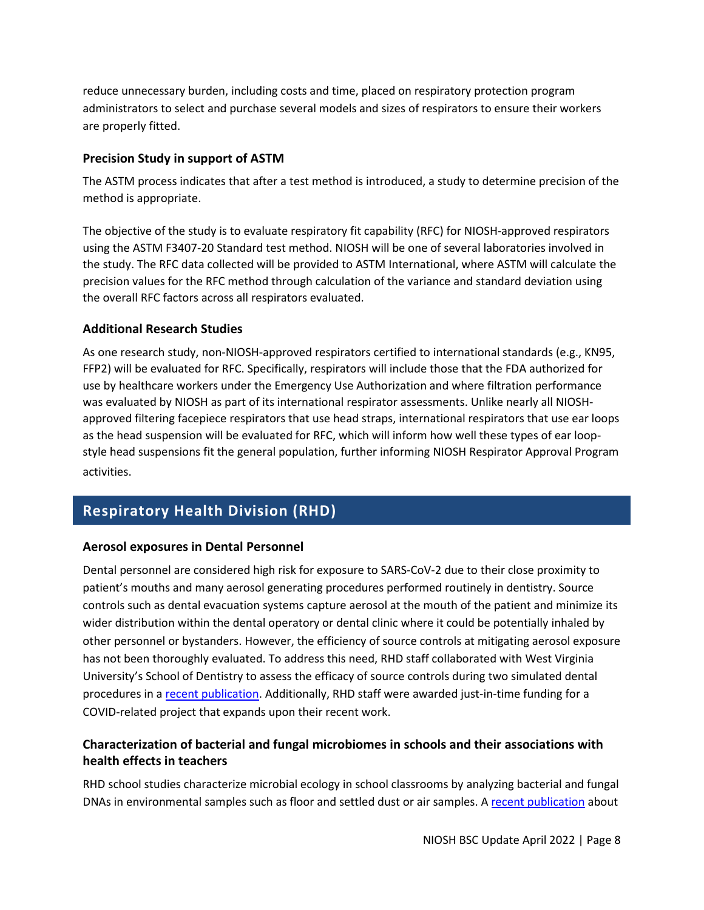reduce unnecessary burden, including costs and time, placed on respiratory protection program administrators to select and purchase several models and sizes of respirators to ensure their workers are properly fitted.

#### **Precision Study in support of ASTM**

The ASTM process indicates that after a test method is introduced, a study to determine precision of the method is appropriate.

The objective of the study is to evaluate respiratory fit capability (RFC) for NIOSH-approved respirators using the ASTM F3407-20 Standard test method. NIOSH will be one of several laboratories involved in the study. The RFC data collected will be provided to ASTM International, where ASTM will calculate the precision values for the RFC method through calculation of the variance and standard deviation using the overall RFC factors across all respirators evaluated.

#### **Additional Research Studies**

As one research study, non-NIOSH-approved respirators certified to international standards (e.g., KN95, FFP2) will be evaluated for RFC. Specifically, respirators will include those that the FDA authorized for use by healthcare workers under the Emergency Use Authorization and where filtration performance was evaluated by NIOSH as part of its international respirator assessments. Unlike nearly all NIOSHapproved filtering facepiece respirators that use head straps, international respirators that use ear loops as the head suspension will be evaluated for RFC, which will inform how well these types of ear loopstyle head suspensions fit the general population, further informing NIOSH Respirator Approval Program activities.

# **Respiratory Health Division (RHD)**

#### **Aerosol exposures in Dental Personnel**

Dental personnel are considered high risk for exposure to SARS-CoV-2 due to their close proximity to patient's mouths and many aerosol generating procedures performed routinely in dentistry. Source controls such as dental evacuation systems capture aerosol at the mouth of the patient and minimize its wider distribution within the dental operatory or dental clinic where it could be potentially inhaled by other personnel or bystanders. However, the efficiency of source controls at mitigating aerosol exposure has not been thoroughly evaluated. To address this need, RHD staff collaborated with West Virginia University's School of Dentistry to assess the efficacy of source controls during two simulated dental procedures in [a recent publication.](https://www.tandfonline.com/doi/full/10.1080/15459624.2022.2053140) Additionally, RHD staff were awarded just-in-time funding for a COVID-related project that expands upon their recent work.

### **Characterization of bacterial and fungal microbiomes in schools and their associations with health effects in teachers**

RHD school studies characterize microbial ecology in school classrooms by analyzing bacterial and fungal DNAs in environmental samples such as floor and settled dust or air samples. A [recent publication](https://microbiomejournal.biomedcentral.com/track/pdf/10.1186/s40168-020-00954-2.pdf) about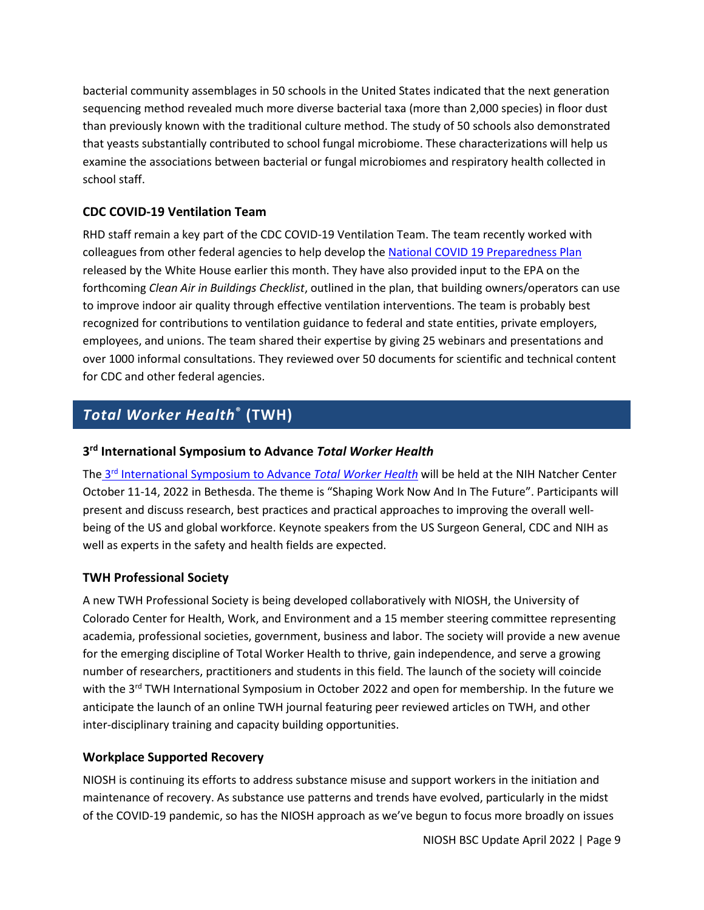bacterial community assemblages in 50 schools in the United States indicated that the next generation sequencing method revealed much more diverse bacterial taxa (more than 2,000 species) in floor dust than previously known with the traditional culture method. The study of 50 schools also demonstrated that yeasts substantially contributed to school fungal microbiome. These characterizations will help us examine the associations between bacterial or fungal microbiomes and respiratory health collected in school staff.

#### **CDC COVID-19 Ventilation Team**

RHD staff remain a key part of the CDC COVID-19 Ventilation Team. The team recently worked with colleagues from other federal agencies to help develop the National COVID [19 Preparedness Plan](https://www.whitehouse.gov/wp-content/uploads/2022/03/National-COVID-19-Preparedness-Plan.pdf) released by the White House earlier this month. They have also provided input to the EPA on the forthcoming *Clean Air in Buildings Checklist*, outlined in the plan, that building owners/operators can use to improve indoor air quality through effective ventilation interventions. The team is probably best recognized for contributions to ventilation guidance to federal and state entities, private employers, employees, and unions. The team shared their expertise by giving 25 webinars and presentations and over 1000 informal consultations. They reviewed over 50 documents for scientific and technical content for CDC and other federal agencies.

# *Total Worker Health***® (TWH)**

#### **3rd International Symposium to Advance** *Total Worker Health*

The 3rd [International Symposium to Advance](https://www.cdc.gov/niosh/TWH/symposium.html) *Total Worker Health* will be held at the NIH Natcher Center October 11-14, 2022 in Bethesda. The theme is "Shaping Work Now And In The Future". Participants will present and discuss research, best practices and practical approaches to improving the overall wellbeing of the US and global workforce. Keynote speakers from the US Surgeon General, CDC and NIH as well as experts in the safety and health fields are expected.

#### **TWH Professional Society**

A new TWH Professional Society is being developed collaboratively with NIOSH, the University of Colorado Center for Health, Work, and Environment and a 15 member steering committee representing academia, professional societies, government, business and labor. The society will provide a new avenue for the emerging discipline of Total Worker Health to thrive, gain independence, and serve a growing number of researchers, practitioners and students in this field. The launch of the society will coincide with the 3<sup>rd</sup> TWH International Symposium in October 2022 and open for membership. In the future we anticipate the launch of an online TWH journal featuring peer reviewed articles on TWH, and other inter-disciplinary training and capacity building opportunities.

#### **Workplace Supported Recovery**

NIOSH is continuing its efforts to address substance misuse and support workers in the initiation and maintenance of recovery. As substance use patterns and trends have evolved, particularly in the midst of the COVID-19 pandemic, so has the NIOSH approach as we've begun to focus more broadly on issues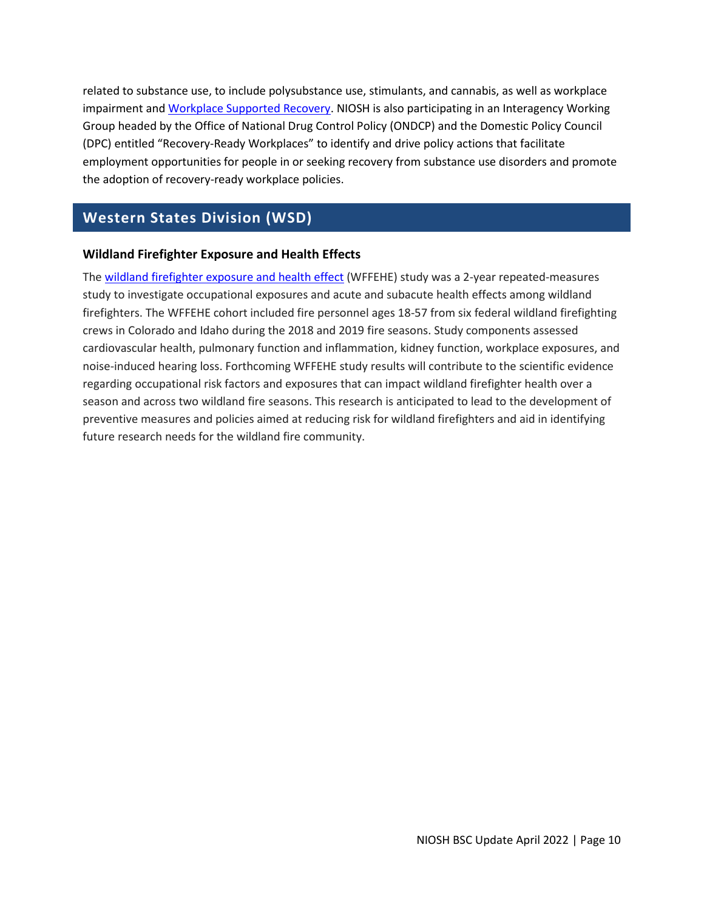related to substance use, to include polysubstance use, stimulants, and cannabis, as well as workplace impairment and [Workplace Supported Recovery.](https://www.cdc.gov/niosh/topics/opioids/wsrp/default.html) NIOSH is also participating in an Interagency Working Group headed by the Office of National Drug Control Policy (ONDCP) and the Domestic Policy Council (DPC) entitled "Recovery-Ready Workplaces" to identify and drive policy actions that facilitate employment opportunities for people in or seeking recovery from substance use disorders and promote the adoption of recovery-ready workplace policies.

### **Western States Division (WSD)**

#### **Wildland Firefighter Exposure and Health Effects**

The [wildland firefighter exposure and health effect](https://doi.org/10.1093/annweh/wxab117) (WFFEHE) study was a 2-year repeated-measures study to investigate occupational exposures and acute and subacute health effects among wildland firefighters. The WFFEHE cohort included fire personnel ages 18-57 from six federal wildland firefighting crews in Colorado and Idaho during the 2018 and 2019 fire seasons. Study components assessed cardiovascular health, pulmonary function and inflammation, kidney function, workplace exposures, and noise-induced hearing loss. Forthcoming WFFEHE study results will contribute to the scientific evidence regarding occupational risk factors and exposures that can impact wildland firefighter health over a season and across two wildland fire seasons. This research is anticipated to lead to the development of preventive measures and policies aimed at reducing risk for wildland firefighters and aid in identifying future research needs for the wildland fire community.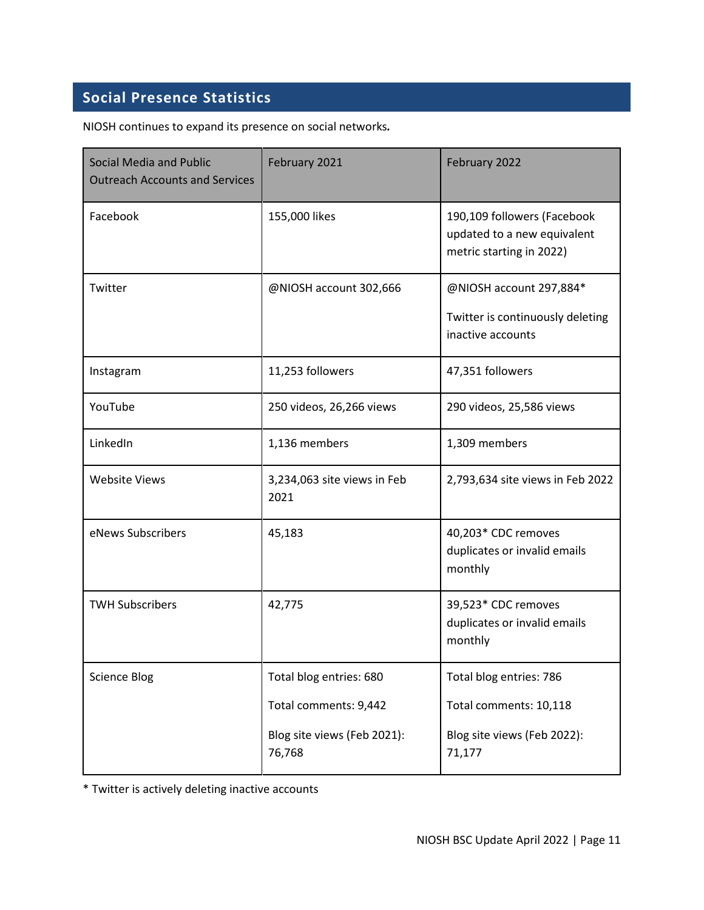# **Social Presence Statistics**

NIOSH continues to expand its presence on social networks*.*

| <b>Social Media and Public</b><br><b>Outreach Accounts and Services</b> | February 2021                         | February 2022                                                                          |
|-------------------------------------------------------------------------|---------------------------------------|----------------------------------------------------------------------------------------|
| Facebook                                                                | 155,000 likes                         | 190,109 followers (Facebook<br>updated to a new equivalent<br>metric starting in 2022) |
| Twitter                                                                 | @NIOSH account 302,666                | @NIOSH account 297,884*<br>Twitter is continuously deleting<br>inactive accounts       |
| Instagram                                                               | 11,253 followers                      | 47,351 followers                                                                       |
| YouTube                                                                 | 250 videos, 26,266 views              | 290 videos, 25,586 views                                                               |
| LinkedIn                                                                | 1,136 members                         | 1,309 members                                                                          |
| <b>Website Views</b>                                                    | 3,234,063 site views in Feb<br>2021   | 2,793,634 site views in Feb 2022                                                       |
| eNews Subscribers                                                       | 45,183                                | 40,203* CDC removes<br>duplicates or invalid emails<br>monthly                         |
| <b>TWH Subscribers</b>                                                  | 42,775                                | 39,523* CDC removes<br>duplicates or invalid emails<br>monthly                         |
| <b>Science Blog</b>                                                     | Total blog entries: 680               | Total blog entries: 786                                                                |
|                                                                         | Total comments: 9,442                 | Total comments: 10,118                                                                 |
|                                                                         | Blog site views (Feb 2021):<br>76,768 | Blog site views (Feb 2022):<br>71,177                                                  |

\* Twitter is actively deleting inactive accounts